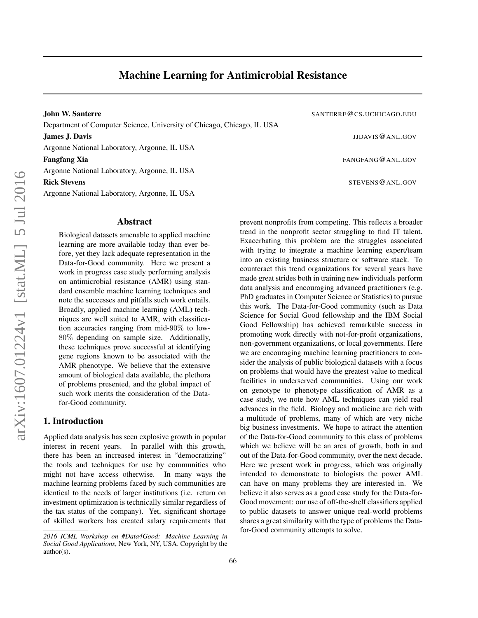John W. Santerre SANTERRE CS.UCHICAGO.EDU Department of Computer Science, University of Chicago, Chicago, IL USA

Argonne National Laboratory, Argonne, IL USA

Argonne National Laboratory, Argonne, IL USA

Argonne National Laboratory, Argonne, IL USA

## Abstract

Biological datasets amenable to applied machine learning are more available today than ever before, yet they lack adequate representation in the Data-for-Good community. Here we present a work in progress case study performing analysis on antimicrobial resistance (AMR) using standard ensemble machine learning techniques and note the successes and pitfalls such work entails. Broadly, applied machine learning (AML) techniques are well suited to AMR, with classification accuracies ranging from mid-90% to low-80% depending on sample size. Additionally, these techniques prove successful at identifying gene regions known to be associated with the AMR phenotype. We believe that the extensive amount of biological data available, the plethora of problems presented, and the global impact of such work merits the consideration of the Datafor-Good community.

## 1. Introduction

Applied data analysis has seen explosive growth in popular interest in recent years. In parallel with this growth, there has been an increased interest in "democratizing" the tools and techniques for use by communities who might not have access otherwise. In many ways the machine learning problems faced by such communities are identical to the needs of larger institutions (i.e. return on investment optimization is technically similar regardless of the tax status of the company). Yet, significant shortage of skilled workers has created salary requirements that

**James J. Davis James J. Davis J. Davis J. Davis <b>J. Davis J. Davis J. Davis J. Davis J. Davis J. Davis J. Davis J. Davis J. Davis J. Davis J. Davis J. Davis J. Davis J. Davis J. Davis J Fangfang Xia** FANGFANG @ ANL.GOV

Rick Stevens  $\alpha$  and  $\alpha$  stevens are stevens of  $\alpha$  and  $\alpha$  stevens  $\alpha$  and  $\alpha$ 

prevent nonprofits from competing. This reflects a broader trend in the nonprofit sector struggling to find IT talent. Exacerbating this problem are the struggles associated with trying to integrate a machine learning expert/team into an existing business structure or software stack. To counteract this trend organizations for several years have made great strides both in training new individuals perform data analysis and encouraging advanced practitioners (e.g. PhD graduates in Computer Science or Statistics) to pursue this work. The Data-for-Good community (such as Data Science for Social Good fellowship and the IBM Social Good Fellowship) has achieved remarkable success in promoting work directly with not-for-profit organizations, non-government organizations, or local governments. Here we are encouraging machine learning practitioners to consider the analysis of public biological datasets with a focus on problems that would have the greatest value to medical facilities in underserved communities. Using our work on genotype to phenotype classification of AMR as a case study, we note how AML techniques can yield real advances in the field. Biology and medicine are rich with a multitude of problems, many of which are very niche big business investments. We hope to attract the attention of the Data-for-Good community to this class of problems which we believe will be an area of growth, both in and out of the Data-for-Good community, over the next decade. Here we present work in progress, which was originally intended to demonstrate to biologists the power AML can have on many problems they are interested in. We believe it also serves as a good case study for the Data-for-Good movement: our use of off-the-shelf classifiers applied to public datasets to answer unique real-world problems shares a great similarity with the type of problems the Datafor-Good community attempts to solve.

*<sup>2016</sup> ICML Workshop on #Data4Good: Machine Learning in Social Good Applications*, New York, NY, USA. Copyright by the author(s).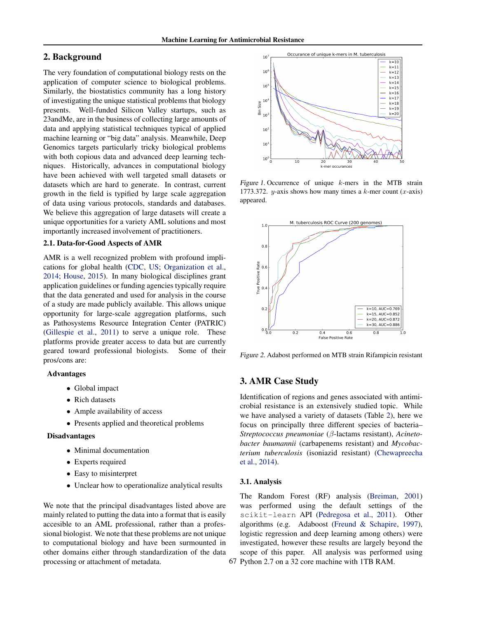# <span id="page-1-0"></span>2. Background

The very foundation of computational biology rests on the application of computer science to biological problems. Similarly, the biostatistics community has a long history of investigating the unique statistical problems that biology presents. Well-funded Silicon Valley startups, such as 23andMe, are in the business of collecting large amounts of data and applying statistical techniques typical of applied machine learning or "big data" analysis. Meanwhile, Deep Genomics targets particularly tricky biological problems with both copious data and advanced deep learning techniques. Historically, advances in computational biology have been achieved with well targeted small datasets or datasets which are hard to generate. In contrast, current growth in the field is typified by large scale aggregation of data using various protocols, standards and databases. We believe this aggregation of large datasets will create a unique opportunities for a variety AML solutions and most importantly increased involvement of practitioners.

## 2.1. Data-for-Good Aspects of AMR

AMR is a well recognized problem with profound implications for global health [\(CDC,](#page-4-0) [US;](#page-4-0) [Organization et al.,](#page-4-0) [2014;](#page-4-0) [House,](#page-4-0) [2015\)](#page-4-0). In many biological disciplines grant application guidelines or funding agencies typically require that the data generated and used for analysis in the course of a study are made publicly available. This allows unique opportunity for large-scale aggregation platforms, such as Pathosystems Resource Integration Center (PATRIC) [\(Gillespie et al.,](#page-4-0) [2011\)](#page-4-0) to serve a unique role. These platforms provide greater access to data but are currently geared toward professional biologists. Some of their pros/cons are:

### Advantages

- Global impact
- Rich datasets
- Ample availability of access
- Presents applied and theoretical problems

### Disadvantages

- Minimal documentation
- Experts required
- Easy to misinterpret
- Unclear how to operationalize analytical results

We note that the principal disadvantages listed above are mainly related to putting the data into a format that is easily accesible to an AML professional, rather than a professional biologist. We note that these problems are not unique to computational biology and have been surmounted in other domains either through standardization of the data processing or attachment of metadata.



Figure 1. Occurrence of unique k-mers in the MTB strain 1773.372. y-axis shows how many times a k-mer count  $(x\text{-axis})$ appeared.



Figure 2. Adabost performed on MTB strain Rifampicin resistant

## 3. AMR Case Study

Identification of regions and genes associated with antimicrobial resistance is an extensively studied topic. While we have analysed a variety of datasets (Table [2\)](#page-2-0), here we focus on principally three different species of bacteria– *Streptococcus pneumoniae* (β-lactams resistant), *Acinetobacter baumannii* (carbapenems resistant) and *Mycobacterium tuberculosis* (isoniazid resistant) [\(Chewapreecha](#page-4-0) [et al.,](#page-4-0) [2014\)](#page-4-0).

#### 3.1. Analysis

The Random Forest (RF) analysis [\(Breiman,](#page-4-0) [2001\)](#page-4-0) was performed using the default settings of the scikit-learn API [\(Pedregosa et al.,](#page-4-0) [2011\)](#page-4-0). Other algorithms (e.g. Adaboost [\(Freund & Schapire,](#page-4-0) [1997\)](#page-4-0), logistic regression and deep learning among others) were investigated, however these results are largely beyond the scope of this paper. All analysis was performed using 67 Python 2.7 on a 32 core machine with 1TB RAM.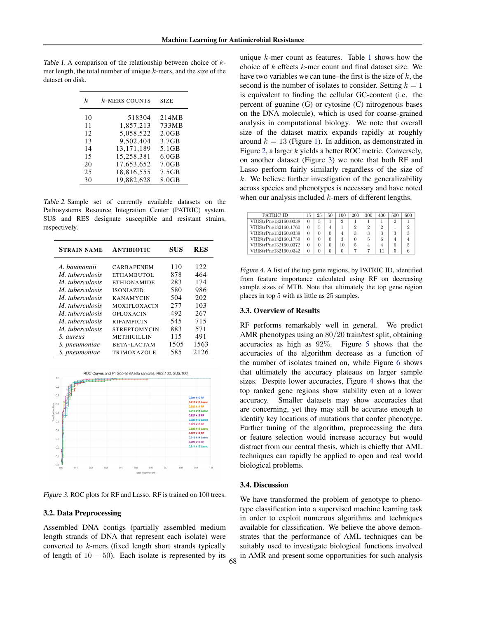mer length, the total number of unique  $k$ -mers, and the size of the dataset on disk.

<span id="page-2-0"></span>Table 1. A comparison of the relationship between choice of  $k$ -

| k  | $k$ -MERS COUNTS | <b>SIZE</b>       |
|----|------------------|-------------------|
| 10 | 518304           | 214MB             |
| 11 | 1,857,213        | 733MB             |
| 12 | 5,058,522        | 2.0GB             |
| 13 | 9.502.404        | 3.7GB             |
| 14 | 13.171.189       | 5.1GB             |
| 15 | 15,258,381       | 6.0GB             |
| 20 | 17.653.652       | 7.0GB             |
| 25 | 18,816,555       | 7.5GB             |
| 30 | 19.882.628       | 8.0 <sub>GB</sub> |

Table 2. Sample set of currently available datasets on the Pathosystems Resource Integration Center (PATRIC) system. SUS and RES designate susceptible and resistant strains, respectively.

| <b>STRAIN NAME</b>     | <b>ANTIBIOTIC</b>   | <b>SUS</b> | RES  |  |
|------------------------|---------------------|------------|------|--|
| A. baumannii           | <b>CARBAPENEM</b>   | 110        | 122  |  |
| M. tuberculosis        | ETHAMBUTOL          | 878        | 464  |  |
| M. tuberculosis        | <b>ETHIONAMIDE</b>  | 283        | 174  |  |
| <i>M. tuberculosis</i> | <b>ISONIAZID</b>    | 580        | 986  |  |
| M. tuberculosis        | <b>KANAMYCIN</b>    | 504        | 202  |  |
| M. tuberculosis        | <b>MOXIFLOXACIN</b> | 2.77       | 103  |  |
| M. tuberculosis        | <b>OFLOXACIN</b>    | 492        | 267  |  |
| M. tuberculosis        | <b>RIFAMPICIN</b>   | 545        | 715  |  |
| M. tuberculosis        | <b>STREPTOMYCIN</b> | 883        | 571  |  |
| S. aureus              | <b>METHICILLIN</b>  | 115        | 491  |  |
| S. pneumoniae          | <b>BETA-LACTAM</b>  | 1505       | 1563 |  |
| S. pneumoniae          | TRIMOXAZOLE         | 585        | 2126 |  |



Figure 3. ROC plots for RF and Lasso. RF is trained on 100 trees.

### 3.2. Data Preprocessing

Assembled DNA contigs (partially assembled medium length strands of DNA that represent each isolate) were converted to k-mers (fixed length short strands typically of length of  $10 - 50$ ). Each isolate is represented by its unique  $k$ -mer count as features. Table 1 shows how the choice of  $k$  effects  $k$ -mer count and final dataset size. We have two variables we can tune–the first is the size of  $k$ , the second is the number of isolates to consider. Setting  $k = 1$ is equivalent to finding the cellular GC-content (i.e. the percent of guanine (G) or cytosine (C) nitrogenous bases on the DNA molecule), which is used for coarse-grained analysis in computational biology. We note that overall size of the dataset matrix expands rapidly at roughly around  $k = 13$  (Figure [1\)](#page-1-0). In addition, as demonstrated in Figure [2,](#page-1-0) a larger k yields a better ROC metric. Conversely, on another dataset (Figure 3) we note that both RF and Lasso perform fairly similarly regardless of the size of  $k$ . We believe further investigation of the generalizability across species and phenotypes is necessary and have noted

| PATRIC ID            |   | 25       | 50 | 100 | 200 | 300 | 400 | 500 | 600 |
|----------------------|---|----------|----|-----|-----|-----|-----|-----|-----|
| VBIStrPne132160_0338 | 0 | 5        |    |     |     |     |     |     |     |
| VBIStrPne132160_1760 | 0 |          |    |     |     |     | 2   |     |     |
| VBIStrPne132160_0339 | 0 | 0        |    |     | 3   | 3   |     | 3   |     |
| VBIStrPne132160_1759 | 0 | $^{(1)}$ |    |     |     | 5   | 6   |     |     |
| VBIStrPne132160_0372 | 0 | 0        |    | 10  |     |     |     |     |     |
| VBIStrPne132160_0342 | 0 | 0        |    |     |     |     |     |     |     |

when our analysis included *k*-mers of different lengths.

Figure 4. A list of the top gene regions, by PATRIC ID, identified from feature importance calculated using RF on decreasing sample sizes of MTB. Note that ultimately the top gene region places in top 5 with as little as 25 samples.

#### 3.3. Overview of Results

RF performs remarkably well in general. We predict AMR phenotypes using an 80/20 train/test split, obtaining accuracies as high as 92%. Figure [5](#page-3-0) shows that the accuracies of the algorithm decrease as a function of the number of isolates trained on, while Figure [6](#page-3-0) shows that ultimately the accuracy plateaus on larger sample sizes. Despite lower accuracies, Figure 4 shows that the top ranked gene regions show stability even at a lower accuracy. Smaller datasets may show accuracies that are concerning, yet they may still be accurate enough to identify key locations of mutations that confer phenotype. Further tuning of the algorithm, preprocessing the data or feature selection would increase accuracy but would distract from our central thesis, which is chiefly that AML techniques can rapidly be applied to open and real world biological problems.

### 3.4. Discussion

68

We have transformed the problem of genotype to phenotype classification into a supervised machine learning task in order to exploit numerous algorithms and techniques available for classification. We believe the above demonstrates that the performance of AML techniques can be suitably used to investigate biological functions involved in AMR and present some opportunities for such analysis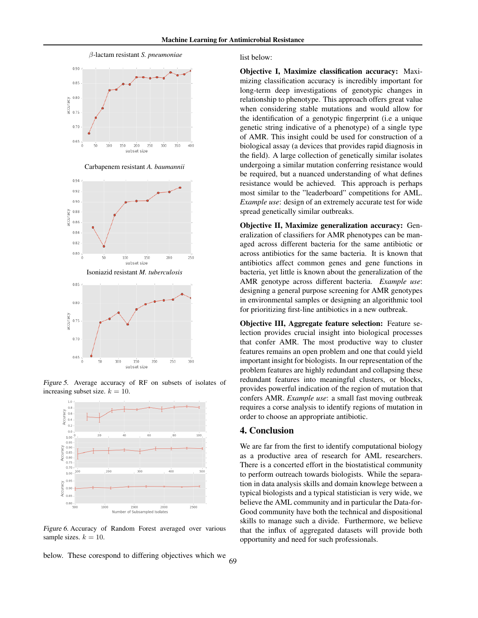<span id="page-3-0"></span>

Carbapenem resistant *A. baumannii*





Figure 5. Average accuracy of RF on subsets of isolates of increasing subset size.  $k = 10$ .



Figure 6. Accuracy of Random Forest averaged over various sample sizes.  $k = 10$ .

below. These corespond to differing objectives which we

list below:

Objective I, Maximize classification accuracy: Maximizing classification accuracy is incredibly important for long-term deep investigations of genotypic changes in relationship to phenotype. This approach offers great value when considering stable mutations and would allow for the identification of a genotypic fingerprint (i.e a unique genetic string indicative of a phenotype) of a single type of AMR. This insight could be used for construction of a biological assay (a devices that provides rapid diagnosis in the field). A large collection of genetically similar isolates undergoing a similar mutation conferring resistance would be required, but a nuanced understanding of what defines resistance would be achieved. This approach is perhaps most similar to the "leaderboard" competitions for AML. *Example use*: design of an extremely accurate test for wide spread genetically similar outbreaks.

Objective II, Maximize generalization accuracy: Generalization of classifiers for AMR phenotypes can be managed across different bacteria for the same antibiotic or across antibiotics for the same bacteria. It is known that antibiotics affect common genes and gene functions in bacteria, yet little is known about the generalization of the AMR genotype across different bacteria. *Example use*: designing a general purpose screening for AMR genotypes in environmental samples or designing an algorithmic tool for prioritizing first-line antibiotics in a new outbreak.

Objective III, Aggregate feature selection: Feature selection provides crucial insight into biological processes that confer AMR. The most productive way to cluster features remains an open problem and one that could yield important insight for biologists. In our representation of the problem features are highly redundant and collapsing these redundant features into meaningful clusters, or blocks, provides powerful indication of the region of mutation that confers AMR. *Example use*: a small fast moving outbreak requires a corse analysis to identify regions of mutation in order to choose an appropriate antibiotic.

## 4. Conclusion

We are far from the first to identify computational biology as a productive area of research for AML researchers. There is a concerted effort in the biostatistical community to perform outreach towards biologists. While the separation in data analysis skills and domain knowlege between a typical biologists and a typical statistician is very wide, we believe the AML community and in particular the Data-for-Good community have both the technical and dispositional skills to manage such a divide. Furthermore, we believe that the influx of aggregated datasets will provide both opportunity and need for such professionals.

69